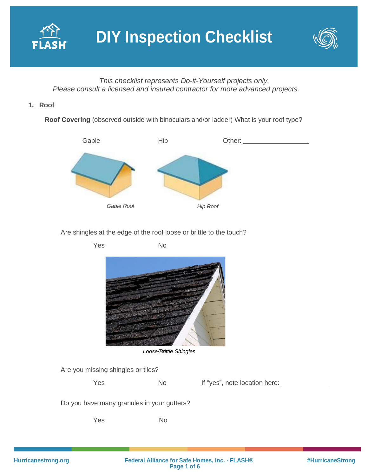



*This checklist represents Do-it-Yourself projects only. Please consult a licensed and insured contractor for more advanced projects.*

## **1. Roof**

**Roof Covering** (observed outside with binoculars and/or ladder) What is your roof type?



Are shingles at the edge of the roof loose or brittle to the touch?

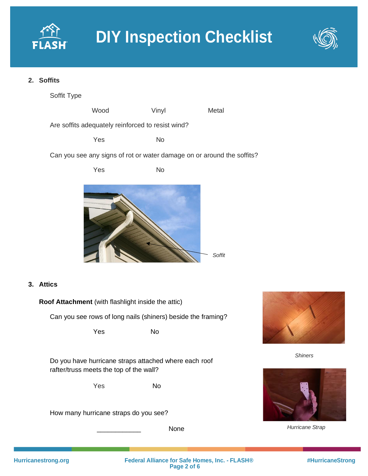



## **2. Soffits**

Soffit Type

Wood Vinyl Metal Are soffits adequately reinforced to resist wind?

Yes No

Can you see any signs of rot or water damage on or around the soffits?



# **3. Attics**

**Roof Attachment** (with flashlight inside the attic) Can you see rows of long nails (shiners) beside the framing? Yes No Do you have hurricane straps attached where each roof rafter/truss meets the top of the wall? Yes No



\_\_\_\_\_\_\_\_\_\_\_\_ None



*Shiners*



*Hurricane Strap*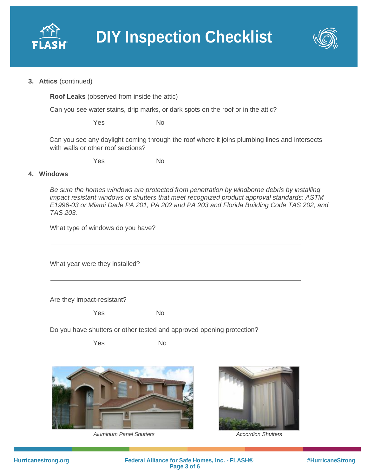



#### **3. Attics** (continued)

**Roof Leaks** (observed from inside the attic)

Can you see water stains, drip marks, or dark spots on the roof or in the attic?

Yes No

Can you see any daylight coming through the roof where it joins plumbing lines and intersects with walls or other roof sections?

Yes No

#### **4. Windows**

*Be sure the homes windows are protected from penetration by windborne debris by installing impact resistant windows or shutters that meet recognized product approval standards: ASTM E1996-03 or Miami Dade PA 201, PA 202 and PA 203 and Florida Building Code TAS 202, and TAS 203.*

What type of windows do you have?

What year were they installed?

Are they impact-resistant?

Yes No

Do you have shutters or other tested and approved opening protection?

Yes No



*Aluminum Panel Shutters Accordion Shutters*

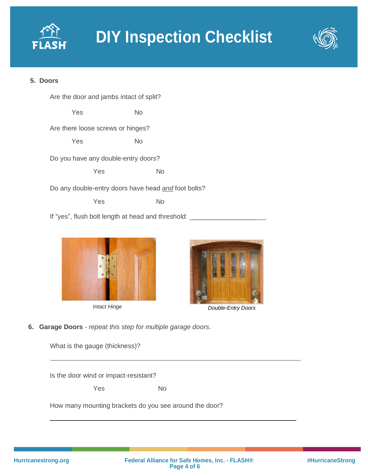



# **5. Doors**







*Intact Hinge Double-Entry Doors*

**6. Garage Doors** *- repeat this step for multiple garage doors.*

| What is the gauge (thickness)?                         |           |
|--------------------------------------------------------|-----------|
| Is the door wind or impact-resistant?                  |           |
| Yes                                                    | <b>No</b> |
| How many mounting brackets do you see around the door? |           |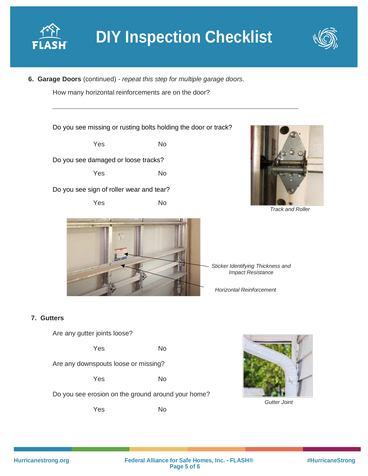



**6. Garage Doors** (continued) *- repeat this step for multiple garage doors.*

How many horizontal reinforcements are on the door?

Do you see missing or rusting bolts holding the door or track?

Yes No Do you see damaged or loose tracks?

Yes No

Do you see sign of roller wear and tear?

Yes No



*Track and Roller*



*Sticker Identifying Thickness and Impact Resistance* 

*Horizontal Reinforcement* 

# **7. Gutters**

Are any gutter joints loose?

Yes No

Are any downspouts loose or missing?

Yes No

Do you see erosion on the ground around your home?

Yes No